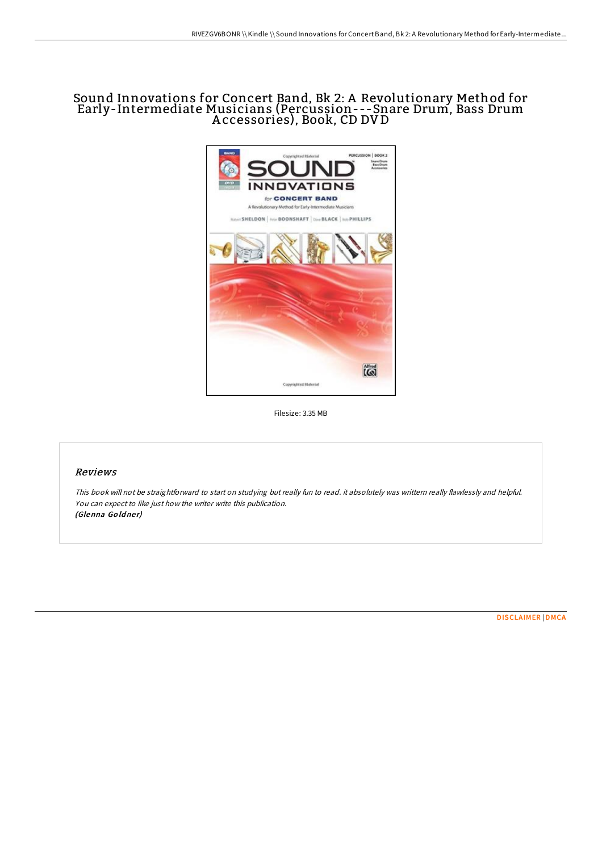# Sound Innovations for Concert Band, Bk 2: A Revolutionary Method for Early-Intermediate Musicians (Percussion---Snare Drum, Bass Drum A ccessories), Book, CD DV D



Filesize: 3.35 MB

## Reviews

This book will not be straightforward to start on studying but really fun to read. it absolutely was writtern really flawlessly and helpful. You can expect to like just how the writer write this publication. (Glenna Goldner)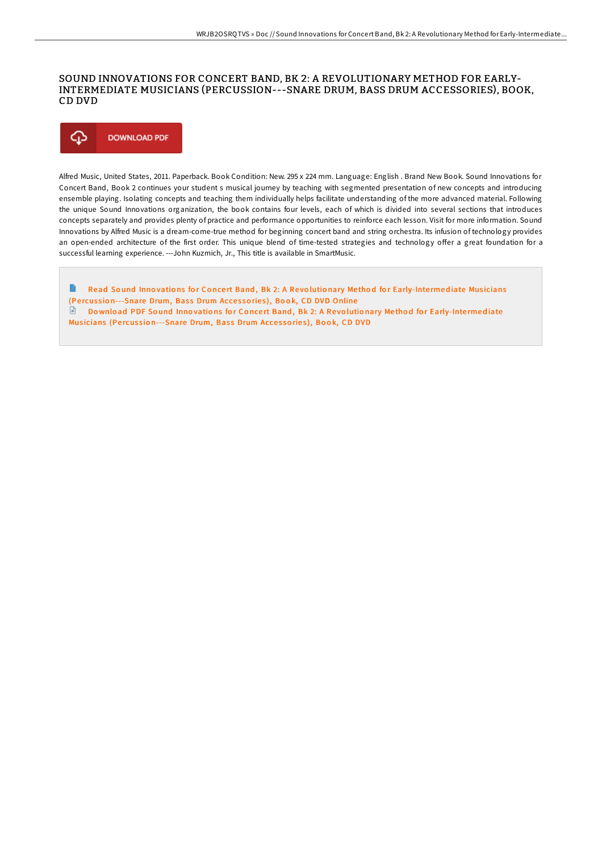## SOUND INNOVATIONS FOR CONCERT BAND, BK 2: A REVOLUTIONARY METHOD FOR EARLY-INTERMEDIATE MUSICIANS (PERCUSSION---SNARE DRUM, BASS DRUM ACCESSORIES), BOOK, CD DVD



Alfred Music, United States, 2011. Paperback. Book Condition: New. 295 x 224 mm. Language: English . Brand New Book. Sound Innovations for Concert Band, Book 2 continues your student s musical journey by teaching with segmented presentation of new concepts and introducing ensemble playing. Isolating concepts and teaching them individually helps facilitate understanding of the more advanced material. Following the unique Sound Innovations organization, the book contains four levels, each of which is divided into several sections that introduces concepts separately and provides plenty of practice and performance opportunities to reinforce each lesson. Visit for more information. Sound Innovations by Alfred Music is a dream-come-true method for beginning concert band and string orchestra. Its infusion of technology provides an open-ended architecture of the first order. This unique blend of time-tested strategies and technology offer a great foundation for a successful learning experience. ---John Kuzmich, Jr., This title is available in SmartMusic.

E Read Sound Innovations for Concert Band, Bk 2: A Revolutionary Method for [Early-Inte](http://almighty24.tech/sound-innovations-for-concert-band-bk-2-a-revolu-4.html)rmediate Musicians (Percussion---Snare Drum, Bass Drum Accessories), Book, CD DVD Online Download PDF Sound Innovations for Concert Band, Bk 2: A Revolutionary Method for [Early-Inte](http://almighty24.tech/sound-innovations-for-concert-band-bk-2-a-revolu-4.html)rmediate Musicians (Percussion---Snare Drum, Bass Drum Accessories), Book, CD DVD